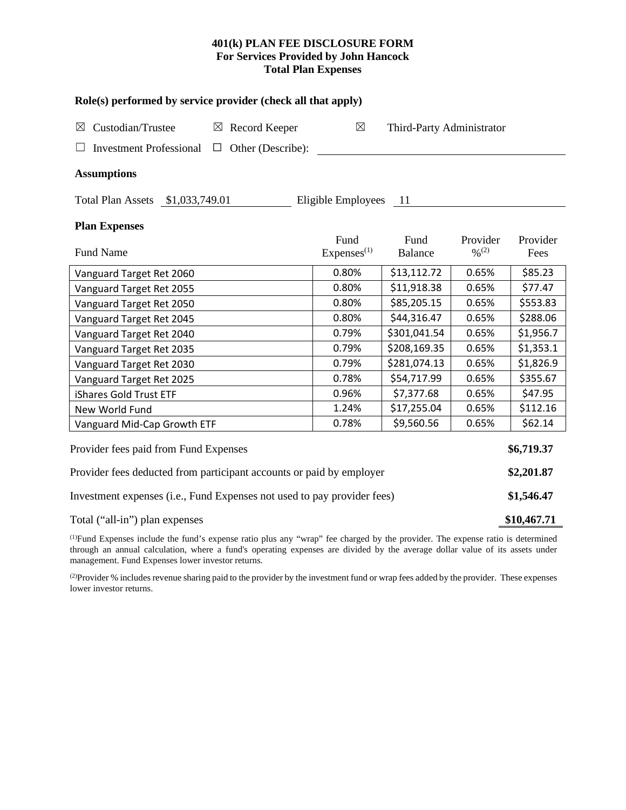# **401(k) PLAN FEE DISCLOSURE FORM For Services Provided by John Hancock Total Plan Expenses**

| Role(s) performed by service provider (check all that apply)                               |                        |                |                   |            |  |  |  |  |  |
|--------------------------------------------------------------------------------------------|------------------------|----------------|-------------------|------------|--|--|--|--|--|
| Custodian/Trustee<br>$\boxtimes$ Record Keeper<br>$\boxtimes$<br>Third-Party Administrator |                        |                |                   |            |  |  |  |  |  |
| Other (Describe):<br><b>Investment Professional</b><br>$\Box$                              |                        |                |                   |            |  |  |  |  |  |
| <b>Assumptions</b>                                                                         |                        |                |                   |            |  |  |  |  |  |
| Total Plan Assets \$1,033,749.01                                                           | Eligible Employees     | - 11           |                   |            |  |  |  |  |  |
| <b>Plan Expenses</b>                                                                       |                        |                |                   |            |  |  |  |  |  |
|                                                                                            | Fund                   | Fund           | Provider          | Provider   |  |  |  |  |  |
| <b>Fund Name</b>                                                                           | Express <sup>(1)</sup> | <b>Balance</b> | $\frac{0}{0}$ (2) | Fees       |  |  |  |  |  |
| Vanguard Target Ret 2060                                                                   | 0.80%                  | \$13,112.72    | 0.65%             | \$85.23    |  |  |  |  |  |
| Vanguard Target Ret 2055                                                                   | 0.80%                  | \$11,918.38    | 0.65%             | \$77.47    |  |  |  |  |  |
| Vanguard Target Ret 2050                                                                   | 0.80%                  | \$85,205.15    | 0.65%             | \$553.83   |  |  |  |  |  |
| Vanguard Target Ret 2045                                                                   | 0.80%                  | \$44,316.47    | 0.65%             | \$288.06   |  |  |  |  |  |
| Vanguard Target Ret 2040                                                                   | 0.79%                  | \$301,041.54   | 0.65%             | \$1,956.7  |  |  |  |  |  |
| Vanguard Target Ret 2035                                                                   | 0.79%                  | \$208,169.35   | 0.65%             | \$1,353.1  |  |  |  |  |  |
| Vanguard Target Ret 2030                                                                   | 0.79%                  | \$281,074.13   | 0.65%             | \$1,826.9  |  |  |  |  |  |
| Vanguard Target Ret 2025                                                                   | 0.78%                  | \$54,717.99    | 0.65%             | \$355.67   |  |  |  |  |  |
| iShares Gold Trust ETF                                                                     | 0.96%                  | \$7,377.68     | 0.65%             | \$47.95    |  |  |  |  |  |
| New World Fund                                                                             | 1.24%                  | \$17,255.04    | 0.65%             | \$112.16   |  |  |  |  |  |
| Vanguard Mid-Cap Growth ETF                                                                | 0.78%                  | \$9,560.56     | 0.65%             | \$62.14    |  |  |  |  |  |
| Provider fees paid from Fund Expenses                                                      |                        |                |                   | \$6,719.37 |  |  |  |  |  |
| Provider fees deducted from participant accounts or paid by employer                       |                        |                |                   |            |  |  |  |  |  |
| Investment expenses (i.e., Fund Expenses not used to pay provider fees)                    |                        |                |                   |            |  |  |  |  |  |
| Total ("all-in") plan expenses                                                             |                        |                |                   |            |  |  |  |  |  |

(1) Fund Expenses include the fund's expense ratio plus any "wrap" fee charged by the provider. The expense ratio is determined through an annual calculation, where a fund's operating expenses are divided by the average dollar value of its assets under management. Fund Expenses lower investor returns.

(2) Provider % includes revenue sharing paid to the provider by the investment fund or wrap fees added by the provider. These expenses lower investor returns.